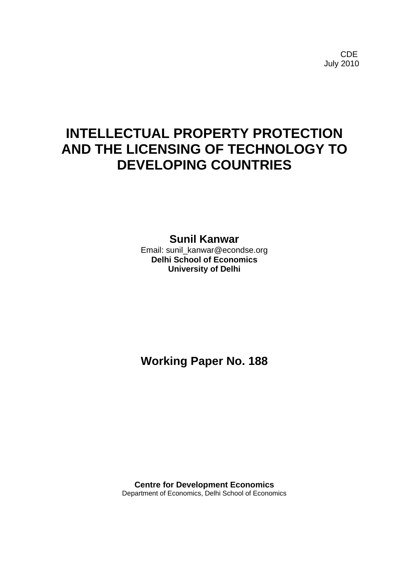CDE July 2010

# **INTELLECTUAL PROPERTY PROTECTION AND THE LICENSING OF TECHNOLOGY TO DEVELOPING COUNTRIES**

**Sunil Kanwar**

Email: sunil\_kanwar@econdse.org **Delhi School of Economics University of Delhi**

**Working Paper No. 188**

**Centre for Development Economics** Department of Economics, Delhi School of Economics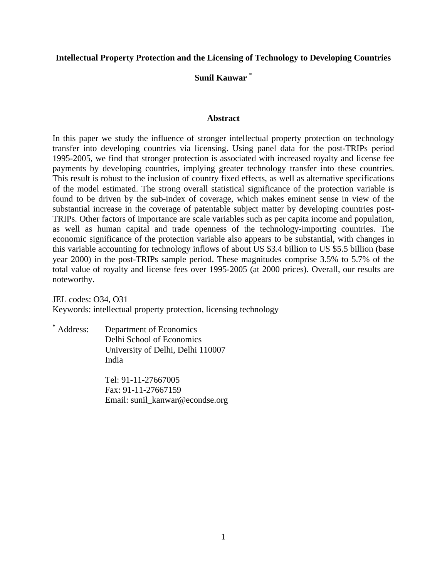#### **Intellectual Property Protection and the Licensing of Technology to Developing Countries**

## **Sunil Kanwar** \*

#### **Abstract**

In this paper we study the influence of stronger intellectual property protection on technology transfer into developing countries via licensing. Using panel data for the post-TRIPs period 1995-2005, we find that stronger protection is associated with increased royalty and license fee payments by developing countries, implying greater technology transfer into these countries. This result is robust to the inclusion of country fixed effects, as well as alternative specifications of the model estimated. The strong overall statistical significance of the protection variable is found to be driven by the sub-index of coverage, which makes eminent sense in view of the substantial increase in the coverage of patentable subject matter by developing countries post-TRIPs. Other factors of importance are scale variables such as per capita income and population, as well as human capital and trade openness of the technology-importing countries. The economic significance of the protection variable also appears to be substantial, with changes in this variable accounting for technology inflows of about US \$3.4 billion to US \$5.5 billion (base year 2000) in the post-TRIPs sample period. These magnitudes comprise 3.5% to 5.7% of the total value of royalty and license fees over 1995-2005 (at 2000 prices). Overall, our results are noteworthy.

JEL codes: O34, O31 Keywords: intellectual property protection, licensing technology

**\*** Address: Department of Economics Delhi School of Economics University of Delhi, Delhi 110007 India

> Tel: 91-11-27667005 Fax: 91-11-27667159 Email: sunil\_kanwar@econdse.org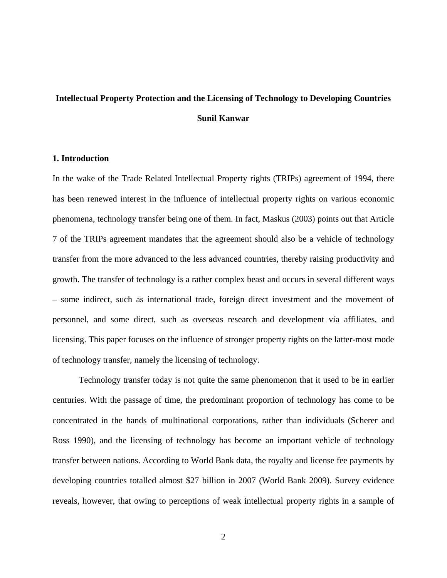## **Intellectual Property Protection and the Licensing of Technology to Developing Countries Sunil Kanwar**

#### **1. Introduction**

In the wake of the Trade Related Intellectual Property rights (TRIPs) agreement of 1994, there has been renewed interest in the influence of intellectual property rights on various economic phenomena, technology transfer being one of them. In fact, Maskus (2003) points out that Article 7 of the TRIPs agreement mandates that the agreement should also be a vehicle of technology transfer from the more advanced to the less advanced countries, thereby raising productivity and growth. The transfer of technology is a rather complex beast and occurs in several different ways – some indirect, such as international trade, foreign direct investment and the movement of personnel, and some direct, such as overseas research and development via affiliates, and licensing. This paper focuses on the influence of stronger property rights on the latter-most mode of technology transfer, namely the licensing of technology.

Technology transfer today is not quite the same phenomenon that it used to be in earlier centuries. With the passage of time, the predominant proportion of technology has come to be concentrated in the hands of multinational corporations, rather than individuals (Scherer and Ross 1990), and the licensing of technology has become an important vehicle of technology transfer between nations. According to World Bank data, the royalty and license fee payments by developing countries totalled almost \$27 billion in 2007 (World Bank 2009). Survey evidence reveals, however, that owing to perceptions of weak intellectual property rights in a sample of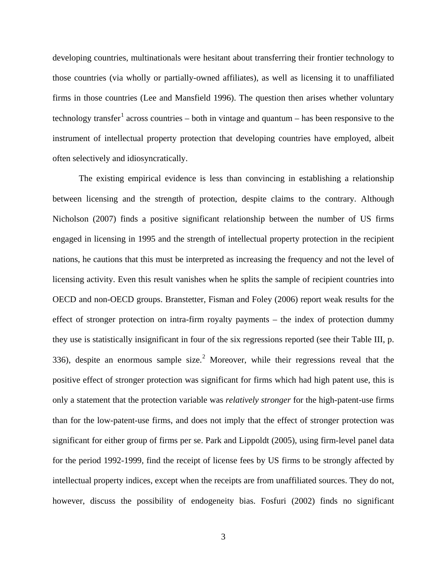developing countries, multinationals were hesitant about transferring their frontier technology to those countries (via wholly or partially-owned affiliates), as well as licensing it to unaffiliated firms in those countries (Lee and Mansfield 1996). The question then arises whether voluntary technology transfer<sup>[1](#page-35-0)</sup> across countries – both in vintage and quantum – has been responsive to the instrument of intellectual property protection that developing countries have employed, albeit often selectively and idiosyncratically.

The existing empirical evidence is less than convincing in establishing a relationship between licensing and the strength of protection, despite claims to the contrary. Although Nicholson (2007) finds a positive significant relationship between the number of US firms engaged in licensing in 1995 and the strength of intellectual property protection in the recipient nations, he cautions that this must be interpreted as increasing the frequency and not the level of licensing activity. Even this result vanishes when he splits the sample of recipient countries into OECD and non-OECD groups. Branstetter, Fisman and Foley (2006) report weak results for the effect of stronger protection on intra-firm royalty payments – the index of protection dummy they use is statistically insignificant in four of the six regressions reported (see their Table III, p. 336), despite an enormous sample size.<sup>[2](#page-35-1)</sup> Moreover, while their regressions reveal that the positive effect of stronger protection was significant for firms which had high patent use, this is only a statement that the protection variable was *relatively stronger* for the high-patent-use firms than for the low-patent-use firms, and does not imply that the effect of stronger protection was significant for either group of firms per se. Park and Lippoldt (2005), using firm-level panel data for the period 1992-1999, find the receipt of license fees by US firms to be strongly affected by intellectual property indices, except when the receipts are from unaffiliated sources. They do not, however, discuss the possibility of endogeneity bias. Fosfuri (2002) finds no significant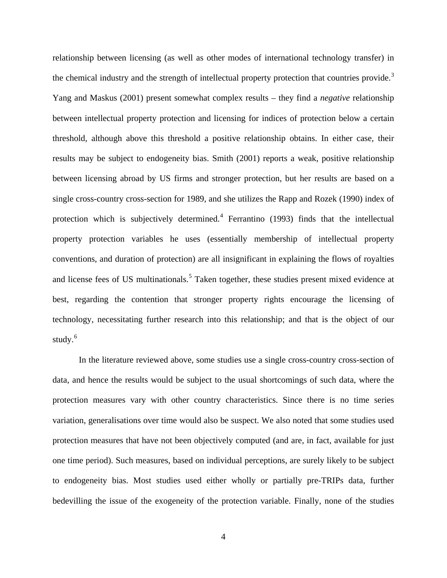relationship between licensing (as well as other modes of international technology transfer) in the chemical industry and the strength of intellectual property protection that countries provide.<sup>[3](#page-35-2)</sup> Yang and Maskus (2001) present somewhat complex results – they find a *negative* relationship between intellectual property protection and licensing for indices of protection below a certain threshold, although above this threshold a positive relationship obtains. In either case, their results may be subject to endogeneity bias. Smith (2001) reports a weak, positive relationship between licensing abroad by US firms and stronger protection, but her results are based on a single cross-country cross-section for 1989, and she utilizes the Rapp and Rozek (1990) index of protection which is subjectively determined.<sup>[4](#page-35-3)</sup> Ferrantino (1993) finds that the intellectual property protection variables he uses (essentially membership of intellectual property conventions, and duration of protection) are all insignificant in explaining the flows of royalties and license fees of US multinationals.<sup>[5](#page-35-4)</sup> Taken together, these studies present mixed evidence at best, regarding the contention that stronger property rights encourage the licensing of technology, necessitating further research into this relationship; and that is the object of our study. $6$ 

In the literature reviewed above, some studies use a single cross-country cross-section of data, and hence the results would be subject to the usual shortcomings of such data, where the protection measures vary with other country characteristics. Since there is no time series variation, generalisations over time would also be suspect. We also noted that some studies used protection measures that have not been objectively computed (and are, in fact, available for just one time period). Such measures, based on individual perceptions, are surely likely to be subject to endogeneity bias. Most studies used either wholly or partially pre-TRIPs data, further bedevilling the issue of the exogeneity of the protection variable. Finally, none of the studies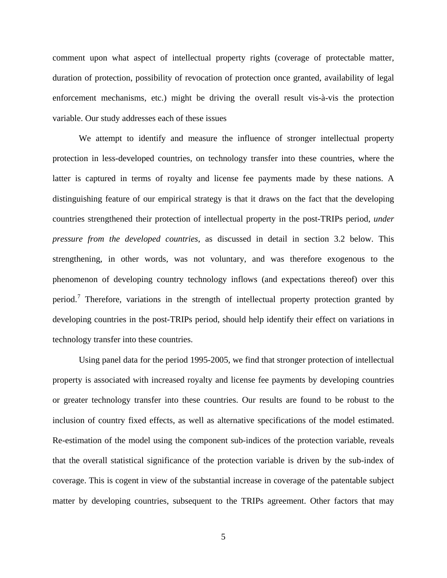comment upon what aspect of intellectual property rights (coverage of protectable matter, duration of protection, possibility of revocation of protection once granted, availability of legal enforcement mechanisms, etc.) might be driving the overall result vis-à-vis the protection variable. Our study addresses each of these issues

We attempt to identify and measure the influence of stronger intellectual property protection in less-developed countries, on technology transfer into these countries, where the latter is captured in terms of royalty and license fee payments made by these nations. A distinguishing feature of our empirical strategy is that it draws on the fact that the developing countries strengthened their protection of intellectual property in the post-TRIPs period, *under pressure from the developed countries*, as discussed in detail in section 3.2 below. This strengthening, in other words, was not voluntary, and was therefore exogenous to the phenomenon of developing country technology inflows (and expectations thereof) over this period.<sup>[7](#page-36-0)</sup> Therefore, variations in the strength of intellectual property protection granted by developing countries in the post-TRIPs period, should help identify their effect on variations in technology transfer into these countries.

Using panel data for the period 1995-2005, we find that stronger protection of intellectual property is associated with increased royalty and license fee payments by developing countries or greater technology transfer into these countries. Our results are found to be robust to the inclusion of country fixed effects, as well as alternative specifications of the model estimated. Re-estimation of the model using the component sub-indices of the protection variable, reveals that the overall statistical significance of the protection variable is driven by the sub-index of coverage. This is cogent in view of the substantial increase in coverage of the patentable subject matter by developing countries, subsequent to the TRIPs agreement. Other factors that may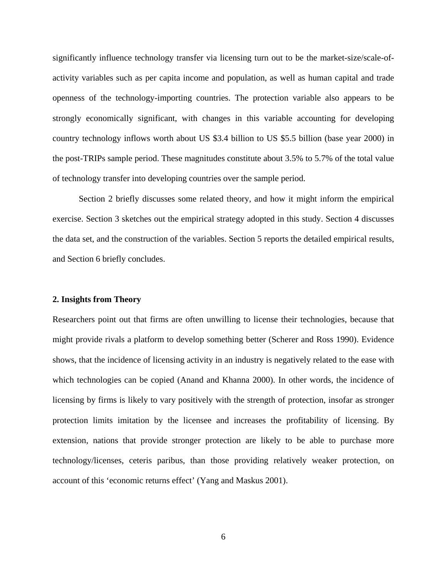significantly influence technology transfer via licensing turn out to be the market-size/scale-ofactivity variables such as per capita income and population, as well as human capital and trade openness of the technology-importing countries. The protection variable also appears to be strongly economically significant, with changes in this variable accounting for developing country technology inflows worth about US \$3.4 billion to US \$5.5 billion (base year 2000) in the post-TRIPs sample period. These magnitudes constitute about 3.5% to 5.7% of the total value of technology transfer into developing countries over the sample period.

Section 2 briefly discusses some related theory, and how it might inform the empirical exercise. Section 3 sketches out the empirical strategy adopted in this study. Section 4 discusses the data set, and the construction of the variables. Section 5 reports the detailed empirical results, and Section 6 briefly concludes.

#### **2. Insights from Theory**

Researchers point out that firms are often unwilling to license their technologies, because that might provide rivals a platform to develop something better (Scherer and Ross 1990). Evidence shows, that the incidence of licensing activity in an industry is negatively related to the ease with which technologies can be copied (Anand and Khanna 2000). In other words, the incidence of licensing by firms is likely to vary positively with the strength of protection, insofar as stronger protection limits imitation by the licensee and increases the profitability of licensing. By extension, nations that provide stronger protection are likely to be able to purchase more technology/licenses, ceteris paribus, than those providing relatively weaker protection, on account of this 'economic returns effect' (Yang and Maskus 2001).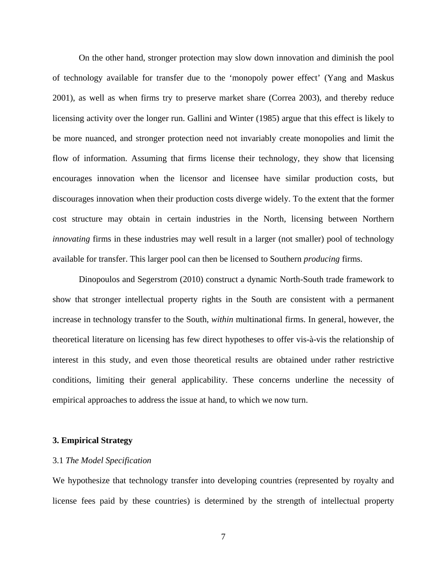On the other hand, stronger protection may slow down innovation and diminish the pool of technology available for transfer due to the 'monopoly power effect' (Yang and Maskus 2001), as well as when firms try to preserve market share (Correa 2003), and thereby reduce licensing activity over the longer run. Gallini and Winter (1985) argue that this effect is likely to be more nuanced, and stronger protection need not invariably create monopolies and limit the flow of information. Assuming that firms license their technology, they show that licensing encourages innovation when the licensor and licensee have similar production costs, but discourages innovation when their production costs diverge widely. To the extent that the former cost structure may obtain in certain industries in the North, licensing between Northern *innovating* firms in these industries may well result in a larger (not smaller) pool of technology available for transfer. This larger pool can then be licensed to Southern *producing* firms.

Dinopoulos and Segerstrom (2010) construct a dynamic North-South trade framework to show that stronger intellectual property rights in the South are consistent with a permanent increase in technology transfer to the South, *within* multinational firms. In general, however, the theoretical literature on licensing has few direct hypotheses to offer vis-à-vis the relationship of interest in this study, and even those theoretical results are obtained under rather restrictive conditions, limiting their general applicability. These concerns underline the necessity of empirical approaches to address the issue at hand, to which we now turn.

#### **3. Empirical Strategy**

#### 3.1 *The Model Specification*

We hypothesize that technology transfer into developing countries (represented by royalty and license fees paid by these countries) is determined by the strength of intellectual property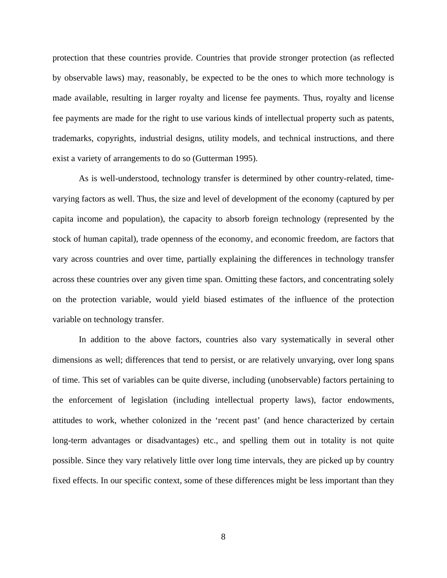protection that these countries provide. Countries that provide stronger protection (as reflected by observable laws) may, reasonably, be expected to be the ones to which more technology is made available, resulting in larger royalty and license fee payments. Thus, royalty and license fee payments are made for the right to use various kinds of intellectual property such as patents, trademarks, copyrights, industrial designs, utility models, and technical instructions, and there exist a variety of arrangements to do so (Gutterman 1995).

As is well-understood, technology transfer is determined by other country-related, timevarying factors as well. Thus, the size and level of development of the economy (captured by per capita income and population), the capacity to absorb foreign technology (represented by the stock of human capital), trade openness of the economy, and economic freedom, are factors that vary across countries and over time, partially explaining the differences in technology transfer across these countries over any given time span. Omitting these factors, and concentrating solely on the protection variable, would yield biased estimates of the influence of the protection variable on technology transfer.

In addition to the above factors, countries also vary systematically in several other dimensions as well; differences that tend to persist, or are relatively unvarying, over long spans of time. This set of variables can be quite diverse, including (unobservable) factors pertaining to the enforcement of legislation (including intellectual property laws), factor endowments, attitudes to work, whether colonized in the 'recent past' (and hence characterized by certain long-term advantages or disadvantages) etc., and spelling them out in totality is not quite possible. Since they vary relatively little over long time intervals, they are picked up by country fixed effects. In our specific context, some of these differences might be less important than they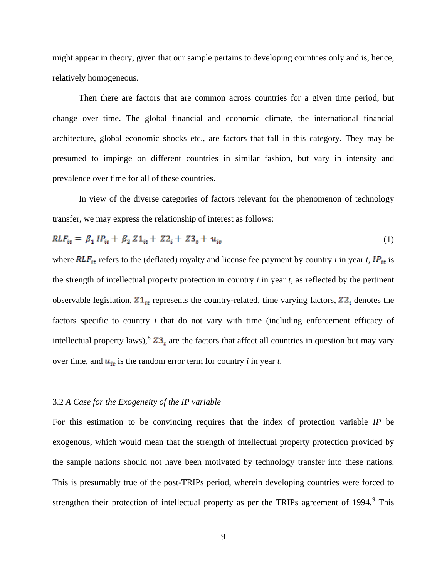might appear in theory, given that our sample pertains to developing countries only and is, hence, relatively homogeneous.

Then there are factors that are common across countries for a given time period, but change over time. The global financial and economic climate, the international financial architecture, global economic shocks etc., are factors that fall in this category. They may be presumed to impinge on different countries in similar fashion, but vary in intensity and prevalence over time for all of these countries.

In view of the diverse categories of factors relevant for the phenomenon of technology transfer, we may express the relationship of interest as follows:

$$
RLF_{it} = \beta_1 IP_{it} + \beta_2 Z1_{it} + Z2_i + Z3_t + u_{it}
$$
 (1)

where  $RLF_{\text{it}}$  refers to the (deflated) royalty and license fee payment by country *i* in year *t*,  $IP_{\text{it}}$  is the strength of intellectual property protection in country *i* in year *t*, as reflected by the pertinent observable legislation,  $Z1_{\tilde{t}t}$  represents the country-related, time varying factors,  $Z2_{\tilde{t}}$  denotes the factors specific to country *i* that do not vary with time (including enforcement efficacy of intellectual property laws),  $Z_2$  are the factors that affect all countries in question but may vary over time, and  $u_{it}$  is the random error term for country *i* in year *t*.

#### 3.2 *A Case for the Exogeneity of the IP variable*

For this estimation to be convincing requires that the index of protection variable *IP* be exogenous, which would mean that the strength of intellectual property protection provided by the sample nations should not have been motivated by technology transfer into these nations. This is presumably true of the post-TRIPs period, wherein developing countries were forced to strengthen their protection of intellectual property as per the TRIPs agreement of 1[9](#page-36-2)94.<sup>9</sup> This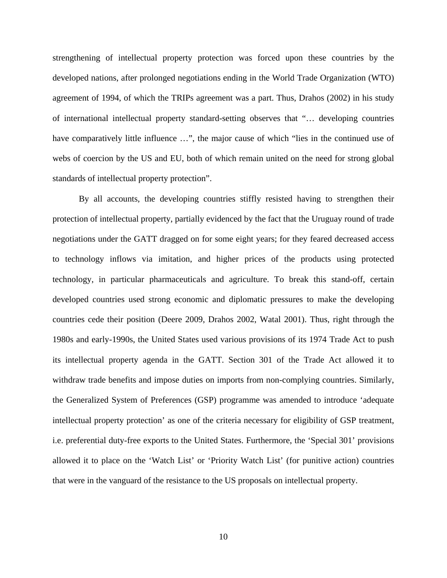strengthening of intellectual property protection was forced upon these countries by the developed nations, after prolonged negotiations ending in the World Trade Organization (WTO) agreement of 1994, of which the TRIPs agreement was a part. Thus, Drahos (2002) in his study of international intellectual property standard-setting observes that "… developing countries have comparatively little influence ...", the major cause of which "lies in the continued use of webs of coercion by the US and EU, both of which remain united on the need for strong global standards of intellectual property protection".

By all accounts, the developing countries stiffly resisted having to strengthen their protection of intellectual property, partially evidenced by the fact that the Uruguay round of trade negotiations under the GATT dragged on for some eight years; for they feared decreased access to technology inflows via imitation, and higher prices of the products using protected technology, in particular pharmaceuticals and agriculture. To break this stand-off, certain developed countries used strong economic and diplomatic pressures to make the developing countries cede their position (Deere 2009, Drahos 2002, Watal 2001). Thus, right through the 1980s and early-1990s, the United States used various provisions of its 1974 Trade Act to push its intellectual property agenda in the GATT. Section 301 of the Trade Act allowed it to withdraw trade benefits and impose duties on imports from non-complying countries. Similarly, the Generalized System of Preferences (GSP) programme was amended to introduce 'adequate intellectual property protection' as one of the criteria necessary for eligibility of GSP treatment, i.e. preferential duty-free exports to the United States. Furthermore, the 'Special 301' provisions allowed it to place on the 'Watch List' or 'Priority Watch List' (for punitive action) countries that were in the vanguard of the resistance to the US proposals on intellectual property.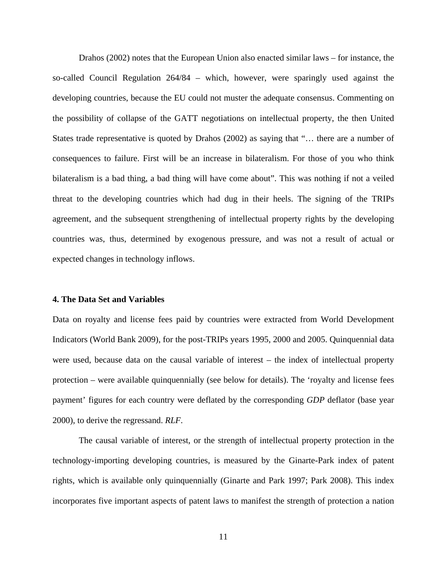Drahos (2002) notes that the European Union also enacted similar laws – for instance, the so-called Council Regulation 264/84 – which, however, were sparingly used against the developing countries, because the EU could not muster the adequate consensus. Commenting on the possibility of collapse of the GATT negotiations on intellectual property, the then United States trade representative is quoted by Drahos (2002) as saying that "… there are a number of consequences to failure. First will be an increase in bilateralism. For those of you who think bilateralism is a bad thing, a bad thing will have come about". This was nothing if not a veiled threat to the developing countries which had dug in their heels. The signing of the TRIPs agreement, and the subsequent strengthening of intellectual property rights by the developing countries was, thus, determined by exogenous pressure, and was not a result of actual or expected changes in technology inflows.

#### **4. The Data Set and Variables**

Data on royalty and license fees paid by countries were extracted from World Development Indicators (World Bank 2009), for the post-TRIPs years 1995, 2000 and 2005. Quinquennial data were used, because data on the causal variable of interest – the index of intellectual property protection – were available quinquennially (see below for details). The 'royalty and license fees payment' figures for each country were deflated by the corresponding *GDP* deflator (base year 2000), to derive the regressand. *RLF*.

The causal variable of interest, or the strength of intellectual property protection in the technology-importing developing countries, is measured by the Ginarte-Park index of patent rights, which is available only quinquennially (Ginarte and Park 1997; Park 2008). This index incorporates five important aspects of patent laws to manifest the strength of protection a nation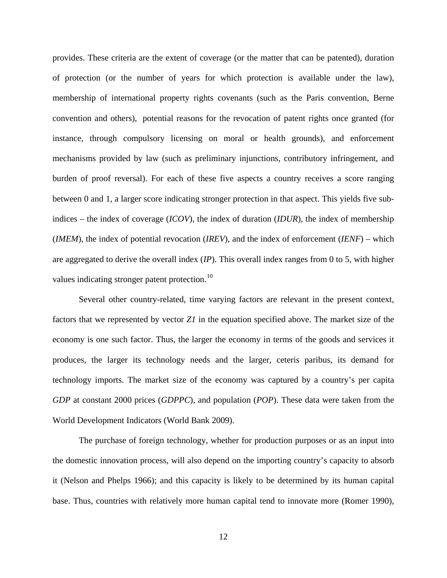provides. These criteria are the extent of coverage (or the matter that can be patented), duration of protection (or the number of years for which protection is available under the law), membership of international property rights covenants (such as the Paris convention, Berne convention and others), potential reasons for the revocation of patent rights once granted (for instance, through compulsory licensing on moral or health grounds), and enforcement mechanisms provided by law (such as preliminary injunctions, contributory infringement, and burden of proof reversal). For each of these five aspects a country receives a score ranging between 0 and 1, a larger score indicating stronger protection in that aspect. This yields five subindices – the index of coverage (*ICOV*), the index of duration (*IDUR*), the index of membership (*IMEM*), the index of potential revocation (*IREV*), and the index of enforcement (*IENF*) – which are aggregated to derive the overall index (*IP*). This overall index ranges from 0 to 5, with higher values indicating stronger patent protection.<sup>[10](#page-36-3)</sup>

Several other country-related, time varying factors are relevant in the present context, factors that we represented by vector *Z1* in the equation specified above. The market size of the economy is one such factor. Thus, the larger the economy in terms of the goods and services it produces, the larger its technology needs and the larger, ceteris paribus, its demand for technology imports. The market size of the economy was captured by a country's per capita *GDP* at constant 2000 prices (*GDPPC*), and population (*POP*). These data were taken from the World Development Indicators (World Bank 2009).

The purchase of foreign technology, whether for production purposes or as an input into the domestic innovation process, will also depend on the importing country's capacity to absorb it (Nelson and Phelps 1966); and this capacity is likely to be determined by its human capital base. Thus, countries with relatively more human capital tend to innovate more (Romer 1990),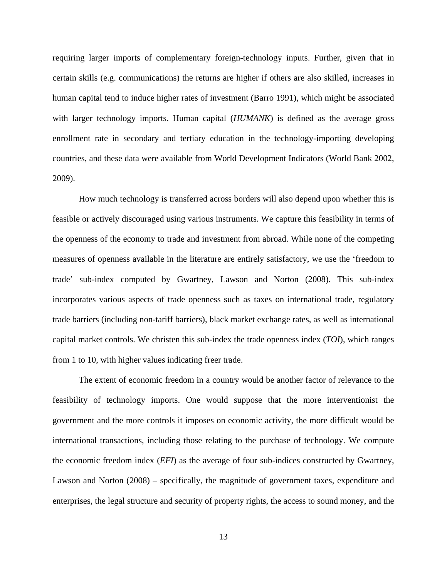requiring larger imports of complementary foreign-technology inputs. Further, given that in certain skills (e.g. communications) the returns are higher if others are also skilled, increases in human capital tend to induce higher rates of investment (Barro 1991), which might be associated with larger technology imports. Human capital (*HUMANK*) is defined as the average gross enrollment rate in secondary and tertiary education in the technology-importing developing countries, and these data were available from World Development Indicators (World Bank 2002, 2009).

How much technology is transferred across borders will also depend upon whether this is feasible or actively discouraged using various instruments. We capture this feasibility in terms of the openness of the economy to trade and investment from abroad. While none of the competing measures of openness available in the literature are entirely satisfactory, we use the 'freedom to trade' sub-index computed by Gwartney, Lawson and Norton (2008). This sub-index incorporates various aspects of trade openness such as taxes on international trade, regulatory trade barriers (including non-tariff barriers), black market exchange rates, as well as international capital market controls. We christen this sub-index the trade openness index (*TOI*), which ranges from 1 to 10, with higher values indicating freer trade.

The extent of economic freedom in a country would be another factor of relevance to the feasibility of technology imports. One would suppose that the more interventionist the government and the more controls it imposes on economic activity, the more difficult would be international transactions, including those relating to the purchase of technology. We compute the economic freedom index (*EFI*) as the average of four sub-indices constructed by Gwartney, Lawson and Norton (2008) – specifically, the magnitude of government taxes, expenditure and enterprises, the legal structure and security of property rights, the access to sound money, and the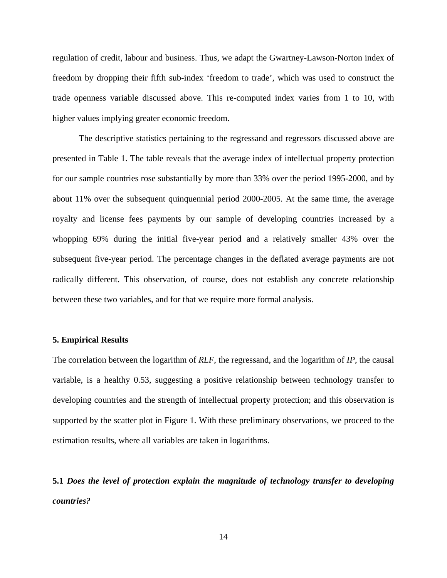regulation of credit, labour and business. Thus, we adapt the Gwartney-Lawson-Norton index of freedom by dropping their fifth sub-index 'freedom to trade', which was used to construct the trade openness variable discussed above. This re-computed index varies from 1 to 10, with higher values implying greater economic freedom.

The descriptive statistics pertaining to the regressand and regressors discussed above are presented in Table 1. The table reveals that the average index of intellectual property protection for our sample countries rose substantially by more than 33% over the period 1995-2000, and by about 11% over the subsequent quinquennial period 2000-2005. At the same time, the average royalty and license fees payments by our sample of developing countries increased by a whopping 69% during the initial five-year period and a relatively smaller 43% over the subsequent five-year period. The percentage changes in the deflated average payments are not radically different. This observation, of course, does not establish any concrete relationship between these two variables, and for that we require more formal analysis.

#### **5. Empirical Results**

The correlation between the logarithm of *RLF*, the regressand, and the logarithm of *IP*, the causal variable, is a healthy 0.53, suggesting a positive relationship between technology transfer to developing countries and the strength of intellectual property protection; and this observation is supported by the scatter plot in Figure 1. With these preliminary observations, we proceed to the estimation results, where all variables are taken in logarithms.

**5.1** *Does the level of protection explain the magnitude of technology transfer to developing countries?*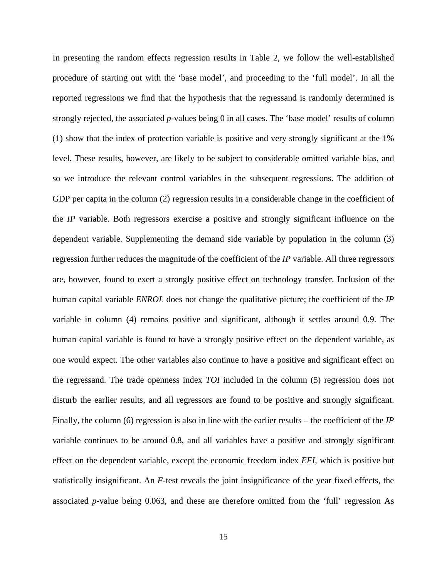In presenting the random effects regression results in Table 2, we follow the well-established procedure of starting out with the 'base model', and proceeding to the 'full model'. In all the reported regressions we find that the hypothesis that the regressand is randomly determined is strongly rejected, the associated *p*-values being 0 in all cases. The 'base model' results of column (1) show that the index of protection variable is positive and very strongly significant at the 1% level. These results, however, are likely to be subject to considerable omitted variable bias, and so we introduce the relevant control variables in the subsequent regressions. The addition of GDP per capita in the column (2) regression results in a considerable change in the coefficient of the *IP* variable. Both regressors exercise a positive and strongly significant influence on the dependent variable. Supplementing the demand side variable by population in the column (3) regression further reduces the magnitude of the coefficient of the *IP* variable. All three regressors are, however, found to exert a strongly positive effect on technology transfer. Inclusion of the human capital variable *ENROL* does not change the qualitative picture; the coefficient of the *IP* variable in column (4) remains positive and significant, although it settles around 0.9. The human capital variable is found to have a strongly positive effect on the dependent variable, as one would expect. The other variables also continue to have a positive and significant effect on the regressand. The trade openness index *TOI* included in the column (5) regression does not disturb the earlier results, and all regressors are found to be positive and strongly significant. Finally, the column (6) regression is also in line with the earlier results – the coefficient of the *IP* variable continues to be around 0.8, and all variables have a positive and strongly significant effect on the dependent variable, except the economic freedom index *EFI*, which is positive but statistically insignificant. An *F*-test reveals the joint insignificance of the year fixed effects, the associated *p*-value being 0.063, and these are therefore omitted from the 'full' regression As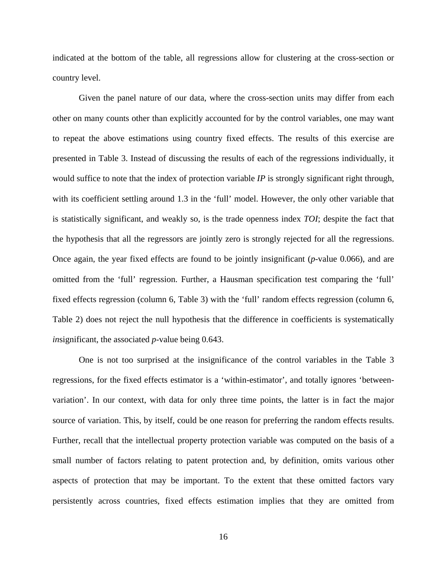indicated at the bottom of the table, all regressions allow for clustering at the cross-section or country level.

Given the panel nature of our data, where the cross-section units may differ from each other on many counts other than explicitly accounted for by the control variables, one may want to repeat the above estimations using country fixed effects. The results of this exercise are presented in Table 3. Instead of discussing the results of each of the regressions individually, it would suffice to note that the index of protection variable *IP* is strongly significant right through, with its coefficient settling around 1.3 in the 'full' model. However, the only other variable that is statistically significant, and weakly so, is the trade openness index *TOI*; despite the fact that the hypothesis that all the regressors are jointly zero is strongly rejected for all the regressions. Once again, the year fixed effects are found to be jointly insignificant (*p*-value 0.066), and are omitted from the 'full' regression. Further, a Hausman specification test comparing the 'full' fixed effects regression (column 6, Table 3) with the 'full' random effects regression (column 6, Table 2) does not reject the null hypothesis that the difference in coefficients is systematically *in*significant, the associated *p*-value being 0.643.

One is not too surprised at the insignificance of the control variables in the Table 3 regressions, for the fixed effects estimator is a 'within-estimator', and totally ignores 'betweenvariation'. In our context, with data for only three time points, the latter is in fact the major source of variation. This, by itself, could be one reason for preferring the random effects results. Further, recall that the intellectual property protection variable was computed on the basis of a small number of factors relating to patent protection and, by definition, omits various other aspects of protection that may be important. To the extent that these omitted factors vary persistently across countries, fixed effects estimation implies that they are omitted from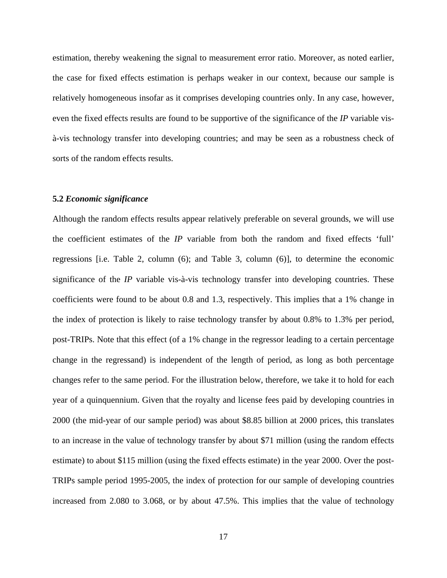estimation, thereby weakening the signal to measurement error ratio. Moreover, as noted earlier, the case for fixed effects estimation is perhaps weaker in our context, because our sample is relatively homogeneous insofar as it comprises developing countries only. In any case, however, even the fixed effects results are found to be supportive of the significance of the *IP* variable visà-vis technology transfer into developing countries; and may be seen as a robustness check of sorts of the random effects results.

#### **5.2** *Economic significance*

Although the random effects results appear relatively preferable on several grounds, we will use the coefficient estimates of the *IP* variable from both the random and fixed effects 'full' regressions [i.e. Table 2, column (6); and Table 3, column (6)], to determine the economic significance of the *IP* variable vis-à-vis technology transfer into developing countries. These coefficients were found to be about 0.8 and 1.3, respectively. This implies that a 1% change in the index of protection is likely to raise technology transfer by about 0.8% to 1.3% per period, post-TRIPs. Note that this effect (of a 1% change in the regressor leading to a certain percentage change in the regressand) is independent of the length of period, as long as both percentage changes refer to the same period. For the illustration below, therefore, we take it to hold for each year of a quinquennium. Given that the royalty and license fees paid by developing countries in 2000 (the mid-year of our sample period) was about \$8.85 billion at 2000 prices, this translates to an increase in the value of technology transfer by about \$71 million (using the random effects estimate) to about \$115 million (using the fixed effects estimate) in the year 2000. Over the post-TRIPs sample period 1995-2005, the index of protection for our sample of developing countries increased from 2.080 to 3.068, or by about 47.5%. This implies that the value of technology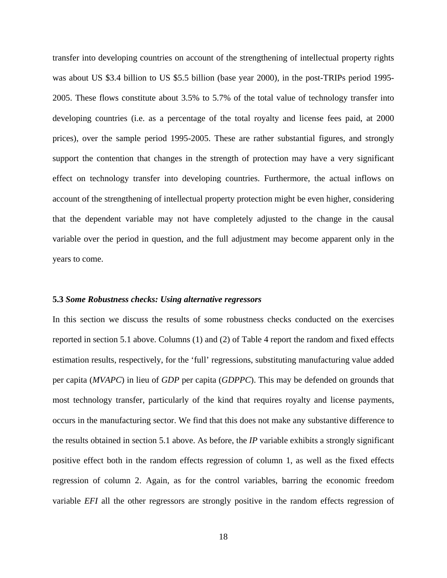transfer into developing countries on account of the strengthening of intellectual property rights was about US \$3.4 billion to US \$5.5 billion (base year 2000), in the post-TRIPs period 1995- 2005. These flows constitute about 3.5% to 5.7% of the total value of technology transfer into developing countries (i.e. as a percentage of the total royalty and license fees paid, at 2000 prices), over the sample period 1995-2005. These are rather substantial figures, and strongly support the contention that changes in the strength of protection may have a very significant effect on technology transfer into developing countries. Furthermore, the actual inflows on account of the strengthening of intellectual property protection might be even higher, considering that the dependent variable may not have completely adjusted to the change in the causal variable over the period in question, and the full adjustment may become apparent only in the years to come.

#### **5.3** *Some Robustness checks: Using alternative regressors*

In this section we discuss the results of some robustness checks conducted on the exercises reported in section 5.1 above. Columns (1) and (2) of Table 4 report the random and fixed effects estimation results, respectively, for the 'full' regressions, substituting manufacturing value added per capita (*MVAPC*) in lieu of *GDP* per capita (*GDPPC*). This may be defended on grounds that most technology transfer, particularly of the kind that requires royalty and license payments, occurs in the manufacturing sector. We find that this does not make any substantive difference to the results obtained in section 5.1 above. As before, the *IP* variable exhibits a strongly significant positive effect both in the random effects regression of column 1, as well as the fixed effects regression of column 2. Again, as for the control variables, barring the economic freedom variable *EFI* all the other regressors are strongly positive in the random effects regression of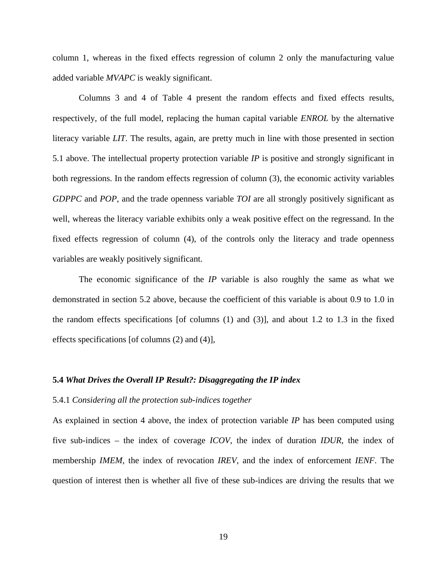column 1, whereas in the fixed effects regression of column 2 only the manufacturing value added variable *MVAPC* is weakly significant.

Columns 3 and 4 of Table 4 present the random effects and fixed effects results, respectively, of the full model, replacing the human capital variable *ENROL* by the alternative literacy variable *LIT*. The results, again, are pretty much in line with those presented in section 5.1 above. The intellectual property protection variable *IP* is positive and strongly significant in both regressions. In the random effects regression of column (3), the economic activity variables *GDPPC* and *POP*, and the trade openness variable *TOI* are all strongly positively significant as well, whereas the literacy variable exhibits only a weak positive effect on the regressand. In the fixed effects regression of column (4), of the controls only the literacy and trade openness variables are weakly positively significant.

The economic significance of the *IP* variable is also roughly the same as what we demonstrated in section 5.2 above, because the coefficient of this variable is about 0.9 to 1.0 in the random effects specifications [of columns  $(1)$  and  $(3)$ ], and about 1.2 to 1.3 in the fixed effects specifications [of columns (2) and (4)],

#### **5.4** *What Drives the Overall IP Result?: Disaggregating the IP index*

#### 5.4.1 *Considering all the protection sub-indices together*

As explained in section 4 above, the index of protection variable *IP* has been computed using five sub-indices – the index of coverage *ICOV*, the index of duration *IDUR*, the index of membership *IMEM*, the index of revocation *IREV*, and the index of enforcement *IENF*. The question of interest then is whether all five of these sub-indices are driving the results that we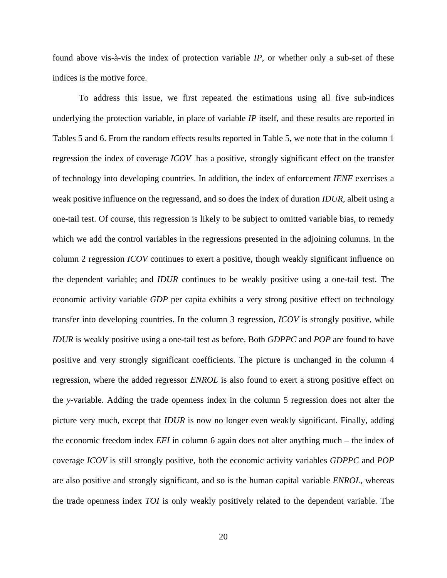found above vis-à-vis the index of protection variable *IP*, or whether only a sub-set of these indices is the motive force.

To address this issue, we first repeated the estimations using all five sub-indices underlying the protection variable, in place of variable *IP* itself, and these results are reported in Tables 5 and 6. From the random effects results reported in Table 5, we note that in the column 1 regression the index of coverage *ICOV* has a positive, strongly significant effect on the transfer of technology into developing countries. In addition, the index of enforcement *IENF* exercises a weak positive influence on the regressand, and so does the index of duration *IDUR*, albeit using a one-tail test. Of course, this regression is likely to be subject to omitted variable bias, to remedy which we add the control variables in the regressions presented in the adjoining columns. In the column 2 regression *ICOV* continues to exert a positive, though weakly significant influence on the dependent variable; and *IDUR* continues to be weakly positive using a one-tail test. The economic activity variable *GDP* per capita exhibits a very strong positive effect on technology transfer into developing countries. In the column 3 regression, *ICOV* is strongly positive, while *IDUR* is weakly positive using a one-tail test as before. Both *GDPPC* and *POP* are found to have positive and very strongly significant coefficients. The picture is unchanged in the column 4 regression, where the added regressor *ENROL* is also found to exert a strong positive effect on the *y*-variable. Adding the trade openness index in the column 5 regression does not alter the picture very much, except that *IDUR* is now no longer even weakly significant. Finally, adding the economic freedom index *EFI* in column 6 again does not alter anything much – the index of coverage *ICOV* is still strongly positive, both the economic activity variables *GDPPC* and *POP* are also positive and strongly significant, and so is the human capital variable *ENROL*, whereas the trade openness index *TOI* is only weakly positively related to the dependent variable. The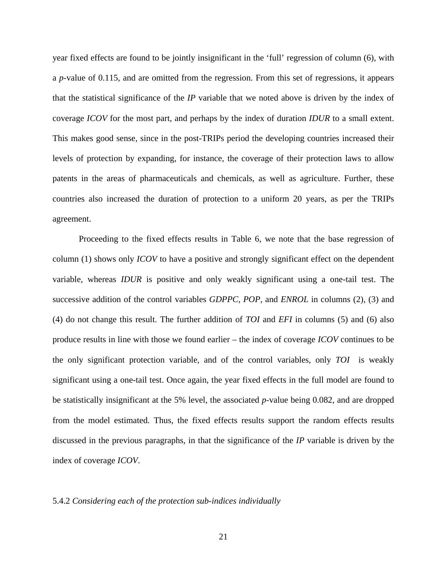year fixed effects are found to be jointly insignificant in the 'full' regression of column (6), with a *p*-value of 0.115, and are omitted from the regression. From this set of regressions, it appears that the statistical significance of the *IP* variable that we noted above is driven by the index of coverage *ICOV* for the most part, and perhaps by the index of duration *IDUR* to a small extent. This makes good sense, since in the post-TRIPs period the developing countries increased their levels of protection by expanding, for instance, the coverage of their protection laws to allow patents in the areas of pharmaceuticals and chemicals, as well as agriculture. Further, these countries also increased the duration of protection to a uniform 20 years, as per the TRIPs agreement.

Proceeding to the fixed effects results in Table 6, we note that the base regression of column (1) shows only *ICOV* to have a positive and strongly significant effect on the dependent variable, whereas *IDUR* is positive and only weakly significant using a one-tail test. The successive addition of the control variables *GDPPC*, *POP*, and *ENROL* in columns (2), (3) and (4) do not change this result. The further addition of *TOI* and *EFI* in columns (5) and (6) also produce results in line with those we found earlier – the index of coverage *ICOV* continues to be the only significant protection variable, and of the control variables, only *TOI* is weakly significant using a one-tail test. Once again, the year fixed effects in the full model are found to be statistically insignificant at the 5% level, the associated *p*-value being 0.082, and are dropped from the model estimated. Thus, the fixed effects results support the random effects results discussed in the previous paragraphs, in that the significance of the *IP* variable is driven by the index of coverage *ICOV*.

#### 5.4.2 *Considering each of the protection sub-indices individually*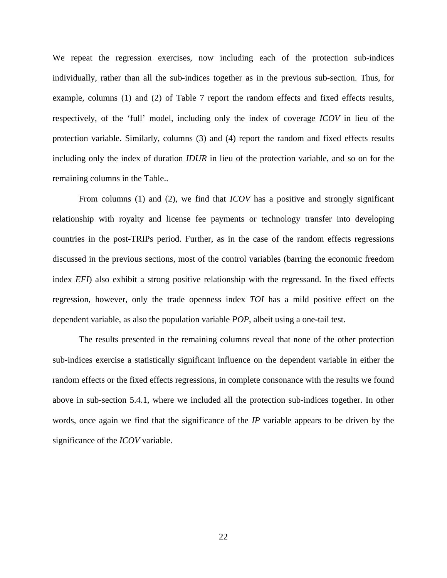We repeat the regression exercises, now including each of the protection sub-indices individually, rather than all the sub-indices together as in the previous sub-section. Thus, for example, columns (1) and (2) of Table 7 report the random effects and fixed effects results, respectively, of the 'full' model, including only the index of coverage *ICOV* in lieu of the protection variable. Similarly, columns (3) and (4) report the random and fixed effects results including only the index of duration *IDUR* in lieu of the protection variable, and so on for the remaining columns in the Table..

From columns (1) and (2), we find that *ICOV* has a positive and strongly significant relationship with royalty and license fee payments or technology transfer into developing countries in the post-TRIPs period. Further, as in the case of the random effects regressions discussed in the previous sections, most of the control variables (barring the economic freedom index *EFI*) also exhibit a strong positive relationship with the regressand. In the fixed effects regression, however, only the trade openness index *TOI* has a mild positive effect on the dependent variable, as also the population variable *POP*, albeit using a one-tail test.

The results presented in the remaining columns reveal that none of the other protection sub-indices exercise a statistically significant influence on the dependent variable in either the random effects or the fixed effects regressions, in complete consonance with the results we found above in sub-section 5.4.1, where we included all the protection sub-indices together. In other words, once again we find that the significance of the *IP* variable appears to be driven by the significance of the *ICOV* variable.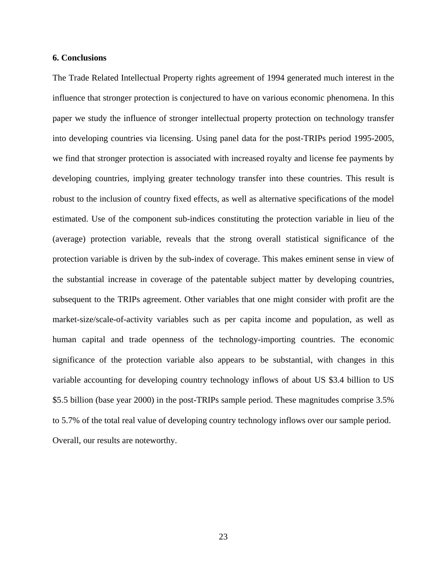#### **6. Conclusions**

The Trade Related Intellectual Property rights agreement of 1994 generated much interest in the influence that stronger protection is conjectured to have on various economic phenomena. In this paper we study the influence of stronger intellectual property protection on technology transfer into developing countries via licensing. Using panel data for the post-TRIPs period 1995-2005, we find that stronger protection is associated with increased royalty and license fee payments by developing countries, implying greater technology transfer into these countries. This result is robust to the inclusion of country fixed effects, as well as alternative specifications of the model estimated. Use of the component sub-indices constituting the protection variable in lieu of the (average) protection variable, reveals that the strong overall statistical significance of the protection variable is driven by the sub-index of coverage. This makes eminent sense in view of the substantial increase in coverage of the patentable subject matter by developing countries, subsequent to the TRIPs agreement. Other variables that one might consider with profit are the market-size/scale-of-activity variables such as per capita income and population, as well as human capital and trade openness of the technology-importing countries. The economic significance of the protection variable also appears to be substantial, with changes in this variable accounting for developing country technology inflows of about US \$3.4 billion to US \$5.5 billion (base year 2000) in the post-TRIPs sample period. These magnitudes comprise 3.5% to 5.7% of the total real value of developing country technology inflows over our sample period. Overall, our results are noteworthy.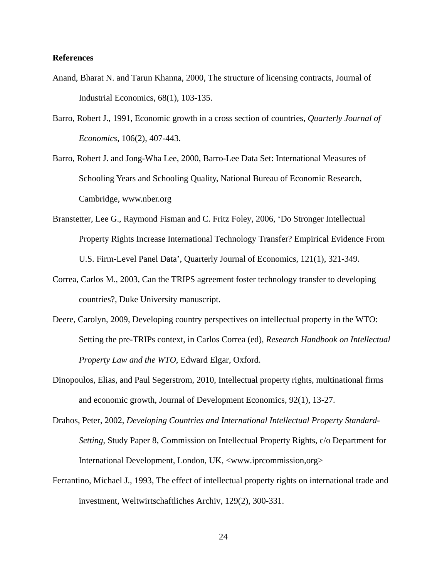#### **References**

- Anand, Bharat N. and Tarun Khanna, 2000, The structure of licensing contracts, Journal of Industrial Economics, 68(1), 103-135.
- Barro, Robert J., 1991, Economic growth in a cross section of countries, *Quarterly Journal of Economics*, 106(2), 407-443.
- Barro, Robert J. and Jong-Wha Lee, 2000, Barro-Lee Data Set: International Measures of Schooling Years and Schooling Quality, National Bureau of Economic Research, Cambridge, www.nber.org
- Branstetter, Lee G., Raymond Fisman and C. Fritz Foley, 2006, 'Do Stronger Intellectual Property Rights Increase International Technology Transfer? Empirical Evidence From U.S. Firm-Level Panel Data', Quarterly Journal of Economics, 121(1), 321-349.
- Correa, Carlos M., 2003, Can the TRIPS agreement foster technology transfer to developing countries?, Duke University manuscript.
- Deere, Carolyn, 2009, Developing country perspectives on intellectual property in the WTO: Setting the pre-TRIPs context, in Carlos Correa (ed), *Research Handbook on Intellectual Property Law and the WTO*, Edward Elgar, Oxford.
- Dinopoulos, Elias, and Paul Segerstrom, 2010, Intellectual property rights, multinational firms and economic growth, Journal of Development Economics, 92(1), 13-27.
- Drahos, Peter, 2002, *Developing Countries and International Intellectual Property Standard-Setting*, Study Paper 8, Commission on Intellectual Property Rights, c/o Department for International Development, London, UK, <www.iprcommission,org>
- Ferrantino, Michael J., 1993, The effect of intellectual property rights on international trade and investment, Weltwirtschaftliches Archiv, 129(2), 300-331.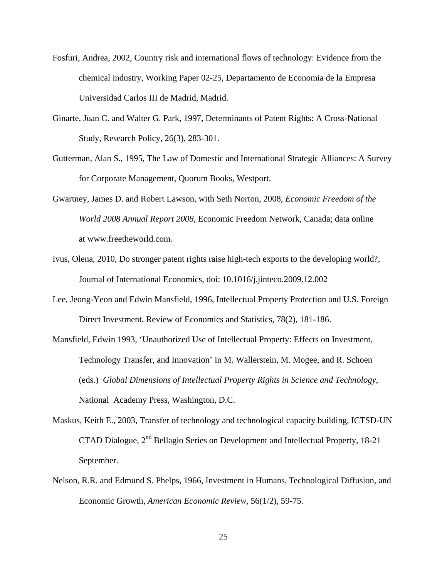- Fosfuri, Andrea, 2002, Country risk and international flows of technology: Evidence from the chemical industry, Working Paper 02-25, Departamento de Economia de la Empresa Universidad Carlos III de Madrid, Madrid.
- Ginarte, Juan C. and Walter G. Park, 1997, Determinants of Patent Rights: A Cross-National Study, Research Policy, 26(3), 283-301.
- Gutterman, Alan S., 1995, The Law of Domestic and International Strategic Alliances: A Survey for Corporate Management, Quorum Books, Westport.
- Gwartney, James D. and Robert Lawson, with Seth Norton, 2008, *Economic Freedom of the World 2008 Annual Report 2008*, Economic Freedom Network, Canada; data online at www.freetheworld.com.
- Ivus, Olena, 2010, Do stronger patent rights raise high-tech exports to the developing world?, Journal of International Economics, doi: 10.1016/j.jinteco.2009.12.002
- Lee, Jeong-Yeon and Edwin Mansfield, 1996, Intellectual Property Protection and U.S. Foreign Direct Investment, Review of Economics and Statistics, 78(2), 181-186.
- Mansfield, Edwin 1993, 'Unauthorized Use of Intellectual Property: Effects on Investment, Technology Transfer, and Innovation' in M. Wallerstein, M. Mogee, and R. Schoen (eds.) *Global Dimensions of Intellectual Property Rights in Science and Technology*, National Academy Press, Washington, D.C.
- Maskus, Keith E., 2003, Transfer of technology and technological capacity building, ICTSD-UN CTAD Dialogue, 2nd Bellagio Series on Development and Intellectual Property, 18-21 September.
- Nelson, R.R. and Edmund S. Phelps, 1966, Investment in Humans, Technological Diffusion, and Economic Growth, *American Economic Review*, 56(1/2), 59-75.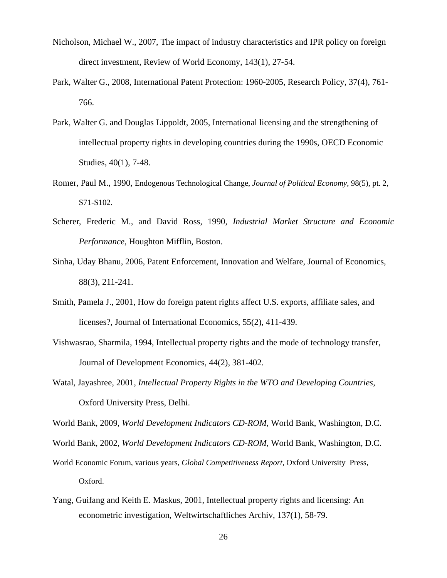- Nicholson, Michael W., 2007, The impact of industry characteristics and IPR policy on foreign direct investment, Review of World Economy, 143(1), 27-54.
- Park, Walter G., 2008, International Patent Protection: 1960-2005, Research Policy, 37(4), 761- 766.
- Park, Walter G. and Douglas Lippoldt, 2005, International licensing and the strengthening of intellectual property rights in developing countries during the 1990s, OECD Economic Studies, 40(1), 7-48.
- Romer, Paul M., 1990, Endogenous Technological Change, *Journal of Political Economy*, 98(5), pt. 2, S71-S102.
- Scherer, Frederic M., and David Ross, 1990, *Industrial Market Structure and Economic Performance*, Houghton Mifflin, Boston.
- Sinha, Uday Bhanu, 2006, Patent Enforcement, Innovation and Welfare, Journal of Economics, 88(3), 211-241.
- Smith, Pamela J., 2001, How do foreign patent rights affect U.S. exports, affiliate sales, and licenses?, Journal of International Economics, 55(2), 411-439.
- Vishwasrao, Sharmila, 1994, Intellectual property rights and the mode of technology transfer, Journal of Development Economics, 44(2), 381-402.
- Watal, Jayashree, 2001, *Intellectual Property Rights in the WTO and Developing Countries*, Oxford University Press, Delhi.

World Bank, 2009, *World Development Indicators CD-ROM*, World Bank, Washington, D.C.

- World Bank, 2002, *World Development Indicators CD-ROM*, World Bank, Washington, D.C.
- World Economic Forum, various years, *Global Competitiveness Report*, Oxford University Press, Oxford.
- Yang, Guifang and Keith E. Maskus, 2001, Intellectual property rights and licensing: An econometric investigation, Weltwirtschaftliches Archiv, 137(1), 58-79.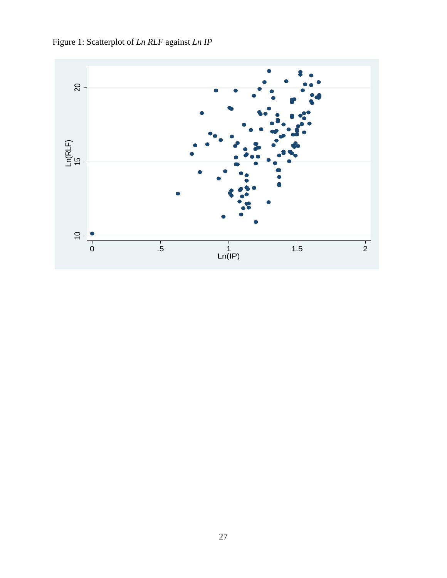Figure 1: Scatterplot of *Ln RLF* against *Ln IP*

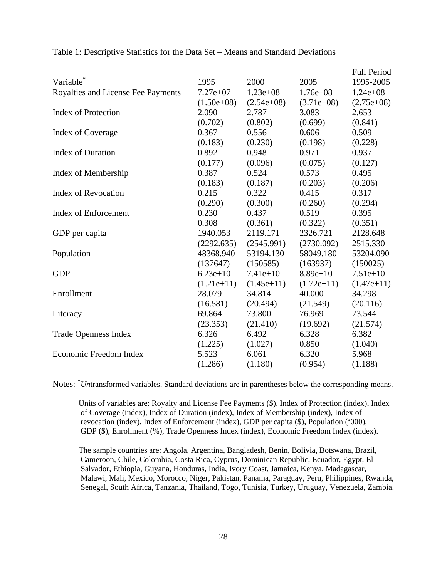|                                    |               |              |              | <b>Full Period</b> |
|------------------------------------|---------------|--------------|--------------|--------------------|
| Variable                           | 1995          | 2000         | 2005         | 1995-2005          |
| Royalties and License Fee Payments | $7.27e+07$    | $1.23e+08$   | $1.76e + 08$ | $1.24e+08$         |
|                                    | $(1.50e+0.8)$ | $(2.54e+08)$ | $(3.71e+08)$ | $(2.75e+08)$       |
| <b>Index of Protection</b>         | 2.090         | 2.787        | 3.083        | 2.653              |
|                                    | (0.702)       | (0.802)      | (0.699)      | (0.841)            |
| <b>Index of Coverage</b>           | 0.367         | 0.556        | 0.606        | 0.509              |
|                                    | (0.183)       | (0.230)      | (0.198)      | (0.228)            |
| <b>Index of Duration</b>           | 0.892         | 0.948        | 0.971        | 0.937              |
|                                    | (0.177)       | (0.096)      | (0.075)      | (0.127)            |
| Index of Membership                | 0.387         | 0.524        | 0.573        | 0.495              |
|                                    | (0.183)       | (0.187)      | (0.203)      | (0.206)            |
| <b>Index of Revocation</b>         | 0.215         | 0.322        | 0.415        | 0.317              |
|                                    | (0.290)       | (0.300)      | (0.260)      | (0.294)            |
| <b>Index of Enforcement</b>        | 0.230         | 0.437        | 0.519        | 0.395              |
|                                    | 0.308         | (0.361)      | (0.322)      | (0.351)            |
| GDP per capita                     | 1940.053      | 2119.171     | 2326.721     | 2128.648           |
|                                    | (2292.635)    | (2545.991)   | (2730.092)   | 2515.330           |
| Population                         | 48368.940     | 53194.130    | 58049.180    | 53204.090          |
|                                    | (137647)      | (150585)     | (163937)     | (150025)           |
| <b>GDP</b>                         | $6.23e+10$    | $7.41e+10$   | $8.89e+10$   | $7.51e+10$         |
|                                    | $(1.21e+11)$  | $(1.45e+11)$ | $(1.72e+11)$ | $(1.47e+11)$       |
| Enrollment                         | 28.079        | 34.814       | 40.000       | 34.298             |
|                                    | (16.581)      | (20.494)     | (21.549)     | (20.116)           |
| Literacy                           | 69.864        | 73.800       | 76.969       | 73.544             |
|                                    | (23.353)      | (21.410)     | (19.692)     | (21.574)           |
| <b>Trade Openness Index</b>        | 6.326         | 6.492        | 6.328        | 6.382              |
|                                    | (1.225)       | (1.027)      | 0.850        | (1.040)            |
| Economic Freedom Index             | 5.523         | 6.061        | 6.320        | 5.968              |
|                                    | (1.286)       | (1.180)      | (0.954)      | (1.188)            |
|                                    |               |              |              |                    |

Table 1: Descriptive Statistics for the Data Set – Means and Standard Deviations

Notes: <sup>\*</sup>Untransformed variables. Standard deviations are in parentheses below the corresponding means.

 Units of variables are: Royalty and License Fee Payments (\$), Index of Protection (index), Index of Coverage (index), Index of Duration (index), Index of Membership (index), Index of revocation (index), Index of Enforcement (index), GDP per capita (\$), Population ('000), GDP (\$), Enrollment (%), Trade Openness Index (index), Economic Freedom Index (index).

 The sample countries are: Angola, Argentina, Bangladesh, Benin, Bolivia, Botswana, Brazil, Cameroon, Chile, Colombia, Costa Rica, Cyprus, Dominican Republic, Ecuador, Egypt, El Salvador, Ethiopia, Guyana, Honduras, India, Ivory Coast, Jamaica, Kenya, Madagascar, Malawi, Mali, Mexico, Morocco, Niger, Pakistan, Panama, Paraguay, Peru, Philippines, Rwanda, Senegal, South Africa, Tanzania, Thailand, Togo, Tunisia, Turkey, Uruguay, Venezuela, Zambia.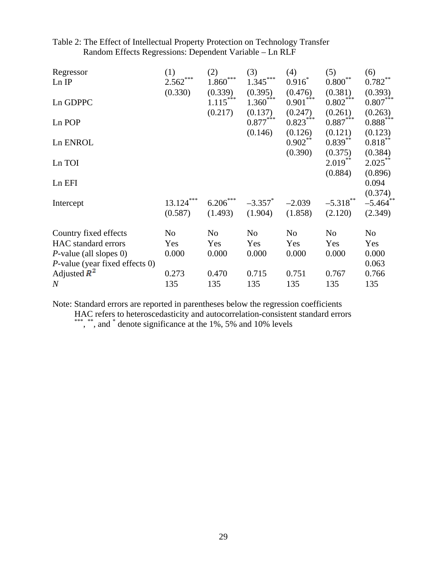| Regressor<br>Ln IP                | (1)<br>***<br>2.562<br>(0.330) | (2)<br>***<br>1.860<br>(0.339) | (3)<br>$1.345***$<br>(0.395) | (4)<br>$0.916*$<br>(0.476) | (5)<br>**<br>$0.800^{\degree}$<br>(0.381) | (6)<br>$0.782^{**}$<br>(0.393) |
|-----------------------------------|--------------------------------|--------------------------------|------------------------------|----------------------------|-------------------------------------------|--------------------------------|
| Ln GDPPC                          |                                | $1.115***$<br>(0.217)          | $1.360^{\degree}$<br>(0.137) | ***<br>0.901<br>(0.247)    | $0.802***$<br>(0.261)                     | $0.807***$<br>(0.263)          |
| Ln POP                            |                                |                                | $0.877***$                   | $0.823***$                 | $0.887***$                                | $0.888^{\ast\ast\ast}$         |
| Ln ENROL                          |                                |                                | (0.146)                      | (0.126)<br>$0.902**$       | (0.121)<br>$0.839***$                     | (0.123)<br>$0.818***$          |
| Ln TOI                            |                                |                                |                              | (0.390)                    | (0.375)<br>$2.019***$                     | (0.384)<br>$2.025***$          |
| Ln EFI                            |                                |                                |                              |                            | (0.884)                                   | (0.896)<br>0.094               |
| Intercept                         | ***<br>13.124                  | $6.206***$                     | $-3.357$ *                   | $-2.039$                   | $-5.318$                                  | (0.374)<br>$-5.464$ **         |
|                                   | (0.587)                        | (1.493)                        | (1.904)                      | (1.858)                    | (2.120)                                   | (2.349)                        |
| Country fixed effects             | No                             | N <sub>o</sub>                 | N <sub>0</sub>               | N <sub>o</sub>             | N <sub>o</sub>                            | N <sub>o</sub>                 |
| HAC standard errors               | Yes                            | Yes                            | Yes                          | Yes                        | Yes                                       | Yes                            |
| $P$ -value (all slopes 0)         | 0.000                          | 0.000                          | 0.000                        | 0.000                      | 0.000                                     | 0.000                          |
| $P$ -value (year fixed effects 0) |                                |                                |                              |                            |                                           | 0.063                          |
| Adjusted $\mathbb{R}^2$           | 0.273                          | 0.470                          | 0.715                        | 0.751                      | 0.767                                     | 0.766                          |
| $\boldsymbol{N}$                  | 135                            | 135                            | 135                          | 135                        | 135                                       | 135                            |

Table 2: The Effect of Intellectual Property Protection on Technology Transfer Random Effects Regressions: Dependent Variable – Ln RLF

Note: Standard errors are reported in parentheses below the regression coefficients HAC refers to heteroscedasticity and autocorrelation-consistent standard errors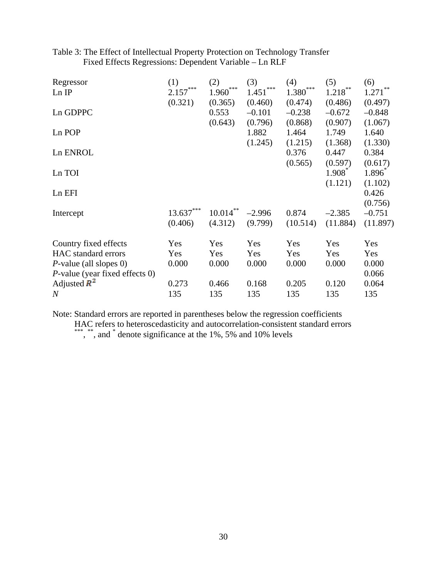| Regressor                         | (1)        | (2)                  | (3)        | (4)        | (5)        | (6)                   |
|-----------------------------------|------------|----------------------|------------|------------|------------|-----------------------|
| Ln IP                             | $2.157***$ | $*\ast\ast$<br>1.960 | $1.451***$ | $1.380***$ | $1.218***$ | $1.271$ <sup>**</sup> |
|                                   | (0.321)    | (0.365)              | (0.460)    | (0.474)    | (0.486)    | (0.497)               |
| Ln GDPPC                          |            | 0.553                | $-0.101$   | $-0.238$   | $-0.672$   | $-0.848$              |
|                                   |            | (0.643)              | (0.796)    | (0.868)    | (0.907)    | (1.067)               |
| Ln POP                            |            |                      | 1.882      | 1.464      | 1.749      | 1.640                 |
|                                   |            |                      | (1.245)    | (1.215)    | (1.368)    | (1.330)               |
| Ln ENROL                          |            |                      |            | 0.376      | 0.447      | 0.384                 |
|                                   |            |                      |            | (0.565)    | (0.597)    | (0.617)               |
| Ln TOI                            |            |                      |            |            | $1.908^*$  | $1.896^*$             |
|                                   |            |                      |            |            | (1.121)    | (1.102)               |
| Ln EFI                            |            |                      |            |            |            | 0.426                 |
|                                   |            |                      |            |            |            | (0.756)               |
| Intercept                         | 13.637     | $10.014***$          | $-2.996$   | 0.874      | $-2.385$   | $-0.751$              |
|                                   | (0.406)    | (4.312)              | (9.799)    | (10.514)   | (11.884)   | (11.897)              |
| Country fixed effects             | Yes        | Yes                  | Yes        | Yes        | Yes        | Yes                   |
| HAC standard errors               | Yes        | Yes                  | Yes        | Yes        | Yes        | Yes                   |
| $P$ -value (all slopes 0)         | 0.000      | 0.000                | 0.000      | 0.000      | 0.000      | 0.000                 |
| $P$ -value (year fixed effects 0) |            |                      |            |            |            | 0.066                 |
| Adjusted $\mathbb{R}^2$           | 0.273      | 0.466                | 0.168      | 0.205      | 0.120      | 0.064                 |
| $\boldsymbol{N}$                  | 135        | 135                  | 135        | 135        | 135        | 135                   |

## Table 3: The Effect of Intellectual Property Protection on Technology Transfer Fixed Effects Regressions: Dependent Variable – Ln RLF

Note: Standard errors are reported in parentheses below the regression coefficients

HAC refers to heteroscedasticity and autocorrelation-consistent standard errors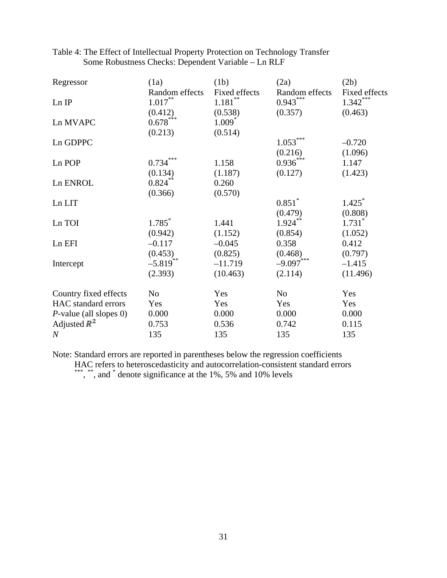| Regressor                 | (1a)                   | (1b)                   | (2a)                 | (2b)          |
|---------------------------|------------------------|------------------------|----------------------|---------------|
|                           | Random effects         | Fixed effects          | Random effects       | Fixed effects |
| Ln IP                     | $1.017***$             | $1.181\overset{**}{ }$ | $0.943***$           | $1.342***$    |
|                           | (0.412)                | (0.538)                | (0.357)              | (0.463)       |
| Ln MVAPC                  | $0.678***$             | $1.009^*$              |                      |               |
|                           | (0.213)                | (0.514)                |                      |               |
| Ln GDPPC                  |                        |                        | $1.053***$           | $-0.720$      |
|                           |                        |                        | (0.216)              | (1.096)       |
| Ln POP                    | $0.734***$             | 1.158                  | $0.936***$           | 1.147         |
|                           | (0.134)                | (1.187)                | (0.127)              | (1.423)       |
| Ln ENROL                  | $0.824***$             | 0.260                  |                      |               |
|                           | (0.366)                | (0.570)                |                      |               |
| Ln LIT                    |                        |                        | $0.851$ <sup>*</sup> | 1.425         |
|                           |                        |                        | (0.479)              | (0.808)       |
| Ln TOI                    | $1.785^*$              | 1.441                  | $1.924***$           | $1.731*$      |
|                           | (0.942)                | (1.152)                | (0.854)              | (1.052)       |
| Ln EFI                    | $-0.117$               | $-0.045$               | 0.358                | 0.412         |
|                           | (0.453)                | (0.825)                | (0.468)              | (0.797)       |
| Intercept                 | $-5.819$ <sup>**</sup> | $-11.719$              | $-9.097***$          | $-1.415$      |
|                           | (2.393)                | (10.463)               | (2.114)              | (11.496)      |
| Country fixed effects     | No                     | Yes                    | No                   | Yes           |
| HAC standard errors       | Yes                    | Yes                    | Yes                  | Yes           |
| $P$ -value (all slopes 0) | 0.000                  | 0.000                  | 0.000                | 0.000         |
| Adjusted $\mathbb{R}^2$   | 0.753                  | 0.536                  | 0.742                | 0.115         |
| $\boldsymbol{N}$          | 135                    | 135                    | 135                  | 135           |

Table 4: The Effect of Intellectual Property Protection on Technology Transfer Some Robustness Checks: Dependent Variable – Ln RLF

Note: Standard errors are reported in parentheses below the regression coefficients HAC refers to heteroscedasticity and autocorrelation-consistent standard errors \*\*\*, \*\*, and  $*$  denote significance at the 1%, 5% and 10% levels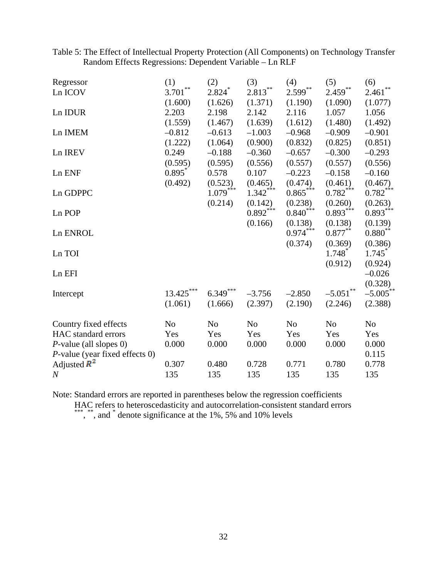| Table 5: The Effect of Intellectual Property Protection (All Components) on Technology Transfer |  |
|-------------------------------------------------------------------------------------------------|--|
| Random Effects Regressions: Dependent Variable – Ln RLF                                         |  |

| **<br>$2.813***$<br>$2.599***$<br>$2.459***$<br>$2.824$ <sup>*</sup><br>Ln ICOV<br>3.701                        | **<br>2.461    |
|-----------------------------------------------------------------------------------------------------------------|----------------|
| (1.600)<br>(1.626)<br>(1.371)<br>(1.190)<br>(1.090)                                                             | (1.077)        |
| 2.203<br>2.198<br>2.142<br>2.116<br>1.057<br>Ln IDUR                                                            | 1.056          |
| (1.639)<br>(1.480)<br>(1.559)<br>(1.467)<br>(1.612)                                                             | (1.492)        |
| $-0.812$<br>$-0.613$<br>$-1.003$<br>$-0.968$<br>$-0.909$<br>Ln IMEM                                             | $-0.901$       |
| (1.222)<br>(1.064)<br>(0.900)<br>(0.832)<br>(0.825)                                                             | (0.851)        |
| 0.249<br>$-0.188$<br>$-0.360$<br>$-0.300$<br>Ln IREV<br>$-0.657$                                                | $-0.293$       |
| (0.595)<br>(0.557)<br>(0.595)<br>(0.556)<br>(0.557)                                                             | (0.556)        |
| 0.895<br>0.578<br>0.107<br>$-0.223$<br>Ln ENF<br>$-0.158$                                                       | $-0.160$       |
| (0.492)<br>(0.523)<br>(0.474)<br>(0.461)<br>(0.465)                                                             | (0.467)        |
| $1.079***$<br>$0.865***$<br>$1.342***$<br>$0.782***$<br>Ln GDPPC                                                | $0.782***$     |
| (0.214)<br>(0.142)<br>(0.238)<br>(0.260)                                                                        | (0.263)        |
| $0.840***$<br>$0.892***$<br>$0.893***$<br>Ln POP                                                                | $0.893***$     |
| (0.166)<br>(0.138)<br>(0.138)                                                                                   | (0.139)        |
| $0.974***$<br>$0.877**$<br>Ln ENROL                                                                             | $0.880^{**}$   |
| (0.374)<br>(0.369)                                                                                              | (0.386)        |
| $1.748$ <sup>*</sup><br>Ln TOI                                                                                  | 1.745          |
| (0.912)                                                                                                         | (0.924)        |
| Ln EFI                                                                                                          | $-0.026$       |
| ***                                                                                                             | (0.328)        |
| $6.349***$<br>$-5.051$ **<br>13.425<br>$-3.756$<br>$-2.850$<br>Intercept                                        | $-5.005$ **    |
| (1.061)<br>(2.397)<br>(2.190)<br>(2.246)<br>(1.666)                                                             | (2.388)        |
| N <sub>o</sub><br>N <sub>o</sub><br>N <sub>o</sub><br>N <sub>o</sub><br>Country fixed effects<br>N <sub>o</sub> | N <sub>o</sub> |
| HAC standard errors<br>Yes<br>Yes<br>Yes<br>Yes<br>Yes                                                          | Yes            |
| $P$ -value (all slopes 0)<br>0.000<br>0.000<br>0.000<br>0.000<br>0.000                                          | 0.000          |
| $P$ -value (year fixed effects 0)                                                                               | 0.115          |
| Adjusted $\mathbb{R}^2$<br>0.307<br>0.480<br>0.728<br>0.771<br>0.780                                            | 0.778          |
| 135<br>135<br>135<br>135<br>135<br>$\boldsymbol{N}$                                                             | 135            |

Note: Standard errors are reported in parentheses below the regression coefficients

HAC refers to heteroscedasticity and autocorrelation-consistent standard errors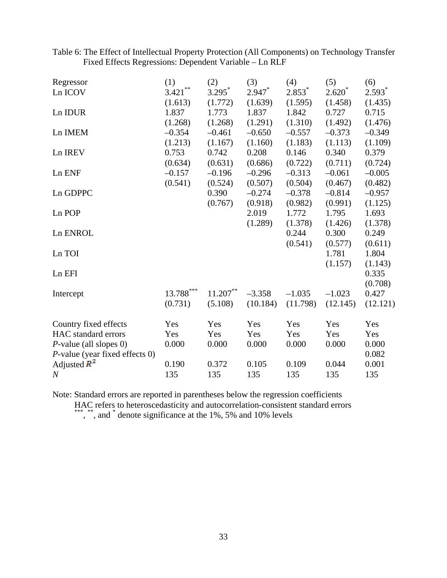Table 6: The Effect of Intellectual Property Protection (All Components) on Technology Transfer Fixed Effects Regressions: Dependent Variable – Ln RLF

| Regressor                         | (1)         | (2)         | (3)       | (4)      | (5)      | (6)      |
|-----------------------------------|-------------|-------------|-----------|----------|----------|----------|
| Ln ICOV                           | $3.421***$  | $3.295^*$   | $2.947$ * | $2.853*$ | $2.620*$ | $2.593*$ |
|                                   | (1.613)     | (1.772)     | (1.639)   | (1.595)  | (1.458)  | (1.435)  |
| Ln IDUR                           | 1.837       | 1.773       | 1.837     | 1.842    | 0.727    | 0.715    |
|                                   | (1.268)     | (1.268)     | (1.291)   | (1.310)  | (1.492)  | (1.476)  |
| Ln IMEM                           | $-0.354$    | $-0.461$    | $-0.650$  | $-0.557$ | $-0.373$ | $-0.349$ |
|                                   | (1.213)     | (1.167)     | (1.160)   | (1.183)  | (1.113)  | (1.109)  |
| Ln IREV                           | 0.753       | 0.742       | 0.208     | 0.146    | 0.340    | 0.379    |
|                                   | (0.634)     | (0.631)     | (0.686)   | (0.722)  | (0.711)  | (0.724)  |
| Ln ENF                            | $-0.157$    | $-0.196$    | $-0.296$  | $-0.313$ | $-0.061$ | $-0.005$ |
|                                   | (0.541)     | (0.524)     | (0.507)   | (0.504)  | (0.467)  | (0.482)  |
| Ln GDPPC                          |             | 0.390       | $-0.274$  | $-0.378$ | $-0.814$ | $-0.957$ |
|                                   |             | (0.767)     | (0.918)   | (0.982)  | (0.991)  | (1.125)  |
| Ln POP                            |             |             | 2.019     | 1.772    | 1.795    | 1.693    |
|                                   |             |             | (1.289)   | (1.378)  | (1.426)  | (1.378)  |
| Ln ENROL                          |             |             |           | 0.244    | 0.300    | 0.249    |
|                                   |             |             |           | (0.541)  | (0.577)  | (0.611)  |
| Ln TOI                            |             |             |           |          | 1.781    | 1.804    |
|                                   |             |             |           |          | (1.157)  | (1.143)  |
| Ln EFI                            |             |             |           |          |          | 0.335    |
|                                   |             |             |           |          |          | (0.708)  |
| Intercept                         | $13.788***$ | $11.207***$ | $-3.358$  | $-1.035$ | $-1.023$ | 0.427    |
|                                   | (0.731)     | (5.108)     | (10.184)  | (11.798) | (12.145) | (12.121) |
| Country fixed effects             | Yes         | Yes         | Yes       | Yes      | Yes      | Yes      |
| HAC standard errors               | Yes         | Yes         | Yes       | Yes      | Yes      | Yes      |
| $P$ -value (all slopes 0)         | 0.000       | 0.000       | 0.000     | 0.000    | 0.000    | 0.000    |
| $P$ -value (year fixed effects 0) |             |             |           |          |          | 0.082    |
| Adjusted $\mathbb{R}^2$           | 0.190       | 0.372       | 0.105     | 0.109    | 0.044    | 0.001    |
| $\boldsymbol{N}$                  | 135         | 135         | 135       | 135      | 135      | 135      |

Note: Standard errors are reported in parentheses below the regression coefficients

HAC refers to heteroscedasticity and autocorrelation-consistent standard errors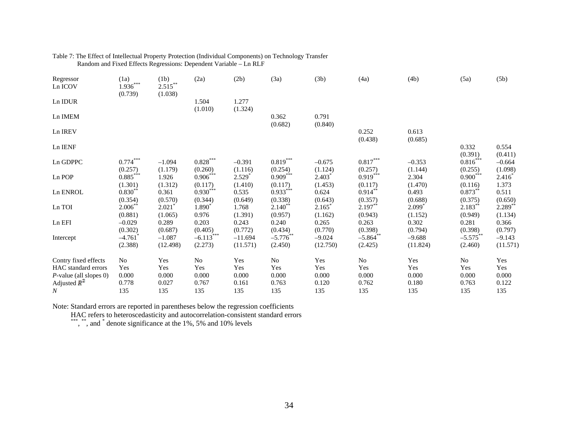| Regressor<br>Ln ICOV      | (1a)<br>$1.936***$<br>(0.739) | (1b)<br>$2.515***$<br>(1.038)   | (2a)                        | (2b)                  | (3a)                    | (3b)                 | (4a)                   | (4b)                            | (5a)                   | (5b)                  |
|---------------------------|-------------------------------|---------------------------------|-----------------------------|-----------------------|-------------------------|----------------------|------------------------|---------------------------------|------------------------|-----------------------|
| Ln IDUR                   |                               |                                 | 1.504<br>(1.010)            | 1.277<br>(1.324)      |                         |                      |                        |                                 |                        |                       |
| Ln IMEM                   |                               |                                 |                             |                       | 0.362<br>(0.682)        | 0.791<br>(0.840)     |                        |                                 |                        |                       |
| Ln IREV                   |                               |                                 |                             |                       |                         |                      | 0.252<br>(0.438)       | 0.613<br>(0.685)                |                        |                       |
| Ln IENF                   |                               |                                 |                             |                       |                         |                      |                        |                                 | 0.332<br>(0.391)       | 0.554<br>(0.411)      |
| Ln GDPPC                  | $0.774***$<br>(0.257)         | $-1.094$<br>(1.179)             | $0.828***$<br>(0.260)       | $-0.391$<br>(1.116)   | $0.819***$<br>(0.254)   | $-0.675$<br>(1.124)  | $0.817***$<br>(0.257)  | $-0.353$<br>(1.144)             | $0.816***$<br>(0.255)  | $-0.664$<br>(1.098)   |
| Ln POP                    | $0.885***$<br>(1.301)         | 1.926<br>(1.312)                | $0.906***$<br>(0.117)       | $2.529*$<br>(1.410)   | $0.909***$<br>(0.117)   | $2.403*$<br>(1.453)  | $0.919***$<br>(0.117)  | 2.304<br>(1.470)                | $0.900***$<br>(0.116)  | $2.416^*$<br>1.373    |
| Ln ENROL                  | $0.830**$<br>(0.354)          | 0.361<br>(0.570)                | $0.930***$<br>(0.344)       | 0.535<br>(0.649)      | $0.933***$<br>(0.338)   | 0.624<br>(0.643)     | $0.914***$<br>(0.357)  | 0.493<br>(0.688)                | $0.873***$<br>(0.375)  | 0.511<br>(0.650)      |
| Ln TOI                    | 2.006<br>(0.881)              | $2.021$ <sup>*</sup><br>(1.065) | 1.890 <sup>*</sup><br>0.976 | 1.768<br>(1.391)      | $2.140^{**}$<br>(0.957) | 2.165<br>(1.162)     | $2.197**$<br>(0.943)   | $2.099$ <sup>*</sup><br>(1.152) | $2.183***$<br>(0.949)  | $2.289$ **<br>(1.134) |
| Ln EFI                    | $-0.029$<br>(0.302)           | 0.289<br>(0.687)                | 0.203<br>(0.405)            | 0.243<br>(0.772)      | 0.240<br>(0.434)        | 0.265<br>(0.770)     | 0.263<br>(0.398)       | 0.302<br>(0.794)                | 0.281<br>(0.398)       | 0.366<br>(0.797)      |
| Intercept                 | $-4.761$<br>(2.388)           | $-1.087$<br>(12.498)            | $-6.113***$<br>(2.273)      | $-11.694$<br>(11.571) | $-5.776$<br>(2.450)     | $-9.024$<br>(12.750) | $-5.864$ **<br>(2.425) | $-9.688$<br>(11.824)            | $-5.575$ **<br>(2.460) | $-9.143$<br>(11.571)  |
| Contry fixed effects      | No                            | Yes                             | No                          | Yes                   | No                      | Yes                  | No                     | Yes                             | No                     | Yes                   |
| HAC standard errors       | Yes                           | Yes                             | Yes                         | Yes                   | Yes                     | Yes                  | Yes                    | Yes                             | Yes                    | Yes                   |
| $P$ -value (all slopes 0) | 0.000                         | 0.000                           | 0.000                       | 0.000                 | 0.000                   | 0.000                | 0.000                  | 0.000                           | 0.000                  | 0.000                 |
| Adjusted $\mathbb{R}^2$   | 0.778                         | 0.027                           | 0.767                       | 0.161                 | 0.763                   | 0.120                | 0.762                  | 0.180                           | 0.763                  | 0.122                 |
| $\boldsymbol{N}$          | 135                           | 135                             | 135                         | 135                   | 135                     | 135                  | 135                    | 135                             | 135                    | 135                   |

#### Table 7: The Effect of Intellectual Property Protection (Individual Components) on Technology Transfer Random and Fixed Effects Regressions: Dependent Variable – Ln RLF

Note: Standard errors are reported in parentheses below the regression coefficients

HAC refers to heteroscedasticity and autocorrelation-consistent standard errors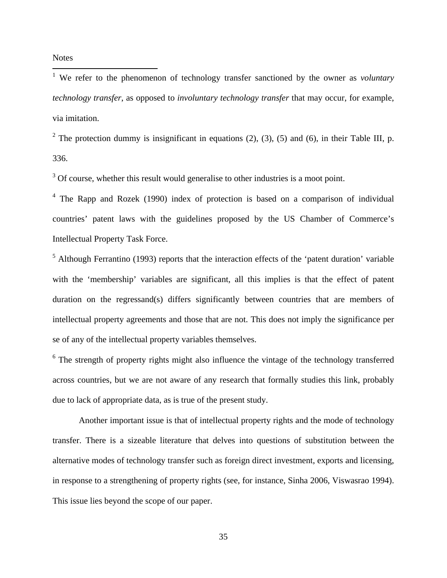**Notes** 

<span id="page-35-0"></span> 1 We refer to the phenomenon of technology transfer sanctioned by the owner as *voluntary technology transfer*, as opposed to *involuntary technology transfer* that may occur, for example, via imitation.

<span id="page-35-1"></span><sup>2</sup> The protection dummy is insignificant in equations (2), (3), (5) and (6), in their Table III, p. 336.

<span id="page-35-2"></span><sup>3</sup> Of course, whether this result would generalise to other industries is a moot point.

<span id="page-35-3"></span><sup>4</sup> The Rapp and Rozek (1990) index of protection is based on a comparison of individual countries' patent laws with the guidelines proposed by the US Chamber of Commerce's Intellectual Property Task Force.

<span id="page-35-4"></span><sup>5</sup> Although Ferrantino (1993) reports that the interaction effects of the 'patent duration' variable with the 'membership' variables are significant, all this implies is that the effect of patent duration on the regressand(s) differs significantly between countries that are members of intellectual property agreements and those that are not. This does not imply the significance per se of any of the intellectual property variables themselves.

<span id="page-35-5"></span> $6$  The strength of property rights might also influence the vintage of the technology transferred across countries, but we are not aware of any research that formally studies this link, probably due to lack of appropriate data, as is true of the present study.

Another important issue is that of intellectual property rights and the mode of technology transfer. There is a sizeable literature that delves into questions of substitution between the alternative modes of technology transfer such as foreign direct investment, exports and licensing, in response to a strengthening of property rights (see, for instance, Sinha 2006, Viswasrao 1994). This issue lies beyond the scope of our paper.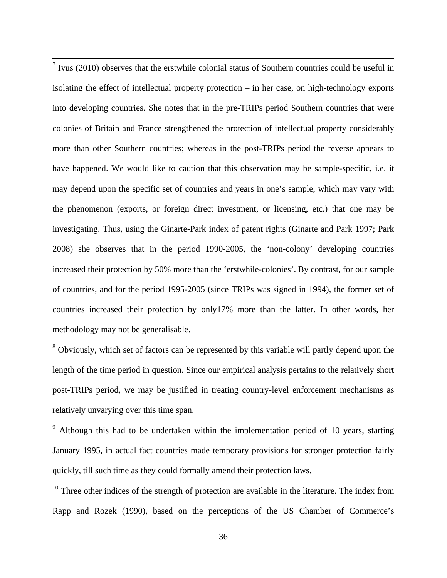<span id="page-36-0"></span> $<sup>7</sup>$  Ivus (2010) observes that the erstwhile colonial status of Southern countries could be useful in</sup> isolating the effect of intellectual property protection – in her case, on high-technology exports into developing countries. She notes that in the pre-TRIPs period Southern countries that were colonies of Britain and France strengthened the protection of intellectual property considerably more than other Southern countries; whereas in the post-TRIPs period the reverse appears to have happened. We would like to caution that this observation may be sample-specific, i.e. it may depend upon the specific set of countries and years in one's sample, which may vary with the phenomenon (exports, or foreign direct investment, or licensing, etc.) that one may be investigating. Thus, using the Ginarte-Park index of patent rights (Ginarte and Park 1997; Park 2008) she observes that in the period 1990-2005, the 'non-colony' developing countries increased their protection by 50% more than the 'erstwhile-colonies'. By contrast, for our sample of countries, and for the period 1995-2005 (since TRIPs was signed in 1994), the former set of countries increased their protection by only17% more than the latter. In other words, her methodology may not be generalisable.

<span id="page-36-1"></span><sup>8</sup> Obviously, which set of factors can be represented by this variable will partly depend upon the length of the time period in question. Since our empirical analysis pertains to the relatively short post-TRIPs period, we may be justified in treating country-level enforcement mechanisms as relatively unvarying over this time span.

<span id="page-36-2"></span> $9$  Although this had to be undertaken within the implementation period of 10 years, starting January 1995, in actual fact countries made temporary provisions for stronger protection fairly quickly, till such time as they could formally amend their protection laws.

<span id="page-36-3"></span> $10$  Three other indices of the strength of protection are available in the literature. The index from Rapp and Rozek (1990), based on the perceptions of the US Chamber of Commerce's